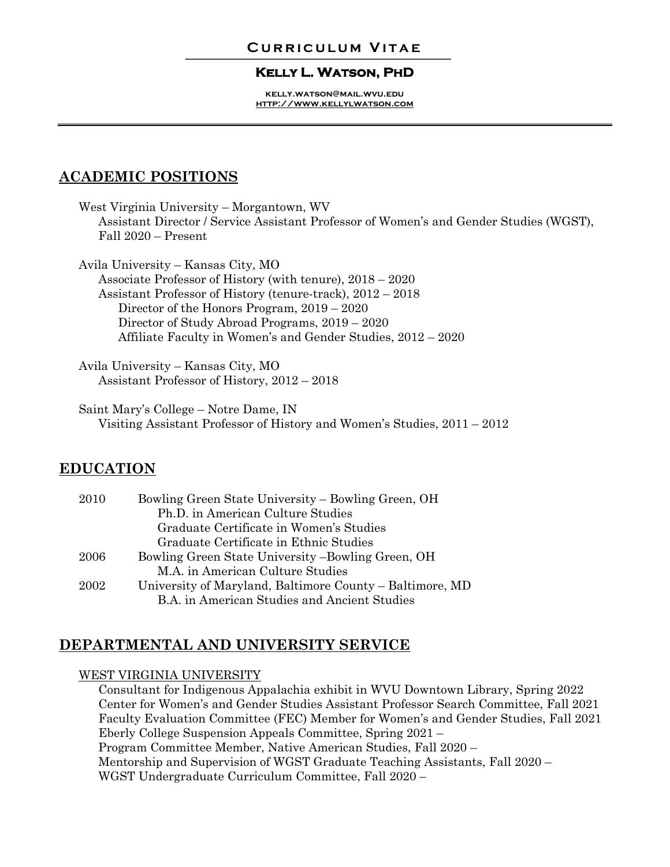## **Curriculum Vitae**

### **Kelly L. Watson, PhD**

**kelly.watson@mail.wvu.edu http://www.kellylwatson.com**

# **ACADEMIC POSITIONS**

West Virginia University – Morgantown, WV Assistant Director / Service Assistant Professor of Women's and Gender Studies (WGST), Fall 2020 – Present

Avila University – Kansas City, MO Associate Professor of History (with tenure), 2018 – 2020 Assistant Professor of History (tenure-track), 2012 – 2018 Director of the Honors Program, 2019 – 2020 Director of Study Abroad Programs, 2019 – 2020 Affiliate Faculty in Women's and Gender Studies, 2012 – 2020

Avila University – Kansas City, MO Assistant Professor of History, 2012 – 2018

Saint Mary's College – Notre Dame, IN Visiting Assistant Professor of History and Women's Studies, 2011 – 2012

# **EDUCATION**

| 2010 | Bowling Green State University – Bowling Green, OH       |
|------|----------------------------------------------------------|
|      | Ph.D. in American Culture Studies                        |
|      | Graduate Certificate in Women's Studies                  |
|      | Graduate Certificate in Ethnic Studies                   |
| 2006 | Bowling Green State University -Bowling Green, OH        |
|      | M.A. in American Culture Studies                         |
| 2002 | University of Maryland, Baltimore County – Baltimore, MD |
|      | B.A. in American Studies and Ancient Studies             |

# **DEPARTMENTAL AND UNIVERSITY SERVICE**

### WEST VIRGINIA UNIVERSITY

Consultant for Indigenous Appalachia exhibit in WVU Downtown Library, Spring 2022 Center for Women's and Gender Studies Assistant Professor Search Committee, Fall 2021 Faculty Evaluation Committee (FEC) Member for Women's and Gender Studies, Fall 2021 Eberly College Suspension Appeals Committee, Spring 2021 – Program Committee Member, Native American Studies, Fall 2020 – Mentorship and Supervision of WGST Graduate Teaching Assistants, Fall 2020 – WGST Undergraduate Curriculum Committee, Fall 2020 –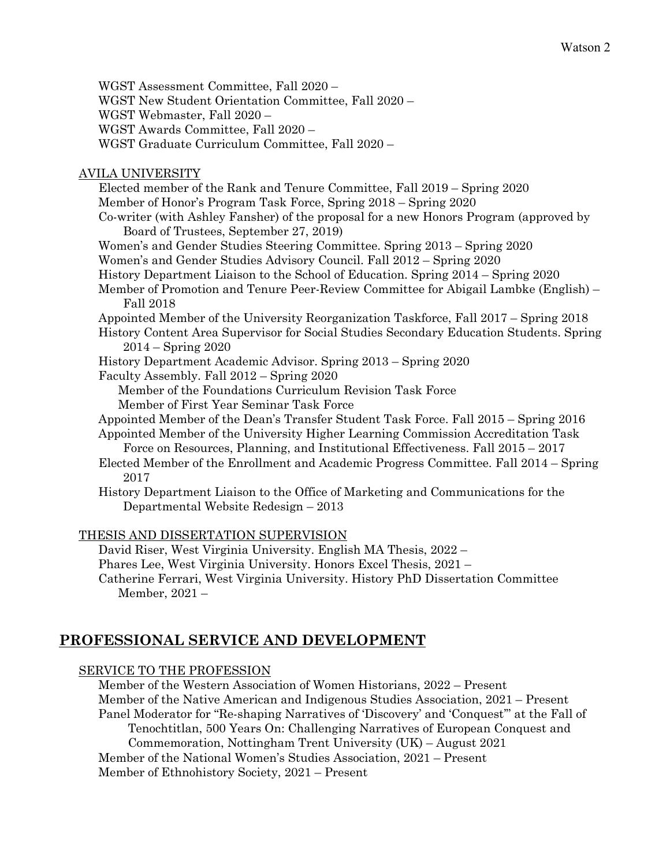WGST Assessment Committee, Fall 2020 – WGST New Student Orientation Committee, Fall 2020 – WGST Webmaster, Fall 2020 – WGST Awards Committee, Fall 2020 – WGST Graduate Curriculum Committee, Fall 2020 –

## AVILA UNIVERSITY

Elected member of the Rank and Tenure Committee, Fall 2019 – Spring 2020 Member of Honor's Program Task Force, Spring 2018 – Spring 2020 Co-writer (with Ashley Fansher) of the proposal for a new Honors Program (approved by Board of Trustees, September 27, 2019) Women's and Gender Studies Steering Committee. Spring 2013 – Spring 2020 Women's and Gender Studies Advisory Council. Fall 2012 – Spring 2020 History Department Liaison to the School of Education. Spring 2014 – Spring 2020 Member of Promotion and Tenure Peer-Review Committee for Abigail Lambke (English) – Fall 2018 Appointed Member of the University Reorganization Taskforce, Fall 2017 – Spring 2018 History Content Area Supervisor for Social Studies Secondary Education Students. Spring 2014 – Spring 2020 History Department Academic Advisor. Spring 2013 – Spring 2020 Faculty Assembly. Fall 2012 – Spring 2020 Member of the Foundations Curriculum Revision Task Force Member of First Year Seminar Task Force Appointed Member of the Dean's Transfer Student Task Force. Fall 2015 – Spring 2016 Appointed Member of the University Higher Learning Commission Accreditation Task Force on Resources, Planning, and Institutional Effectiveness. Fall 2015 – 2017

Elected Member of the Enrollment and Academic Progress Committee. Fall 2014 – Spring 2017

History Department Liaison to the Office of Marketing and Communications for the Departmental Website Redesign – 2013

### THESIS AND DISSERTATION SUPERVISION

David Riser, West Virginia University. English MA Thesis, 2022 –

Phares Lee, West Virginia University. Honors Excel Thesis, 2021 –

Catherine Ferrari, West Virginia University. History PhD Dissertation Committee Member, 2021 –

# **PROFESSIONAL SERVICE AND DEVELOPMENT**

### SERVICE TO THE PROFESSION

Member of the Western Association of Women Historians, 2022 – Present Member of the Native American and Indigenous Studies Association, 2021 – Present Panel Moderator for "Re-shaping Narratives of 'Discovery' and 'Conquest'" at the Fall of Tenochtitlan, 500 Years On: Challenging Narratives of European Conquest and Commemoration, Nottingham Trent University (UK) – August 2021 Member of the National Women's Studies Association, 2021 – Present Member of Ethnohistory Society, 2021 – Present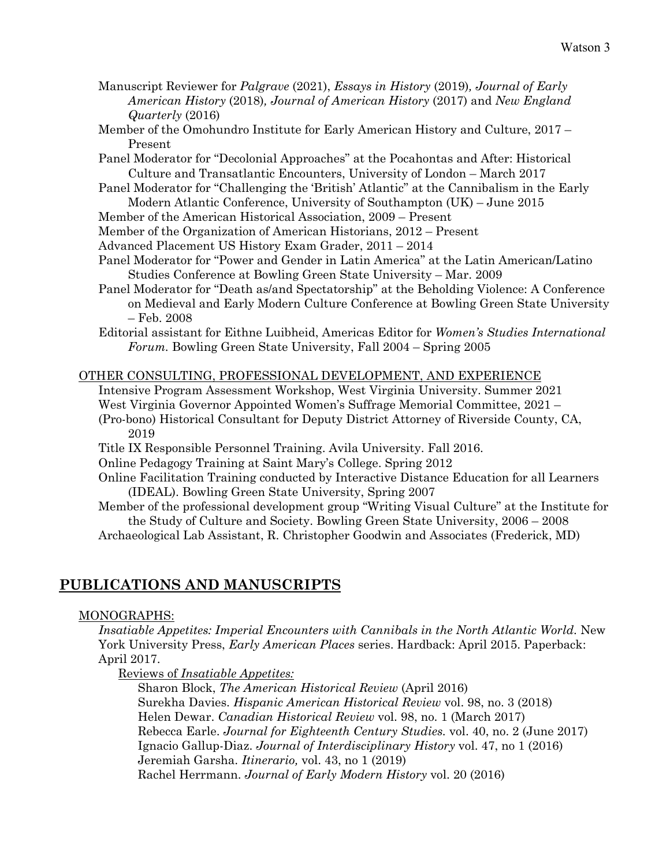- Manuscript Reviewer for *Palgrave* (2021), *Essays in History* (2019)*, Journal of Early American History* (2018)*, Journal of American History* (2017) and *New England Quarterly* (2016)
- Member of the Omohundro Institute for Early American History and Culture, 2017 Present
- Panel Moderator for "Decolonial Approaches" at the Pocahontas and After: Historical Culture and Transatlantic Encounters, University of London – March 2017
- Panel Moderator for "Challenging the 'British' Atlantic" at the Cannibalism in the Early Modern Atlantic Conference, University of Southampton (UK) – June 2015
- Member of the American Historical Association, 2009 Present
- Member of the Organization of American Historians, 2012 Present
- Advanced Placement US History Exam Grader, 2011 2014
- Panel Moderator for "Power and Gender in Latin America" at the Latin American/Latino Studies Conference at Bowling Green State University – Mar. 2009
- Panel Moderator for "Death as/and Spectatorship" at the Beholding Violence: A Conference on Medieval and Early Modern Culture Conference at Bowling Green State University – Feb. 2008

Editorial assistant for Eithne Luibheid, Americas Editor for *Women's Studies International Forum.* Bowling Green State University, Fall 2004 – Spring 2005

### OTHER CONSULTING, PROFESSIONAL DEVELOPMENT, AND EXPERIENCE

Intensive Program Assessment Workshop, West Virginia University. Summer 2021

- West Virginia Governor Appointed Women's Suffrage Memorial Committee, 2021 –
- (Pro-bono) Historical Consultant for Deputy District Attorney of Riverside County, CA, 2019
- Title IX Responsible Personnel Training. Avila University. Fall 2016.
- Online Pedagogy Training at Saint Mary's College. Spring 2012
- Online Facilitation Training conducted by Interactive Distance Education for all Learners (IDEAL). Bowling Green State University, Spring 2007
- Member of the professional development group "Writing Visual Culture" at the Institute for the Study of Culture and Society. Bowling Green State University, 2006 – 2008
- Archaeological Lab Assistant, R. Christopher Goodwin and Associates (Frederick, MD)

## **PUBLICATIONS AND MANUSCRIPTS**

### MONOGRAPHS:

*Insatiable Appetites: Imperial Encounters with Cannibals in the North Atlantic World.* New York University Press, *Early American Places* series. Hardback: April 2015. Paperback: April 2017.

Reviews of *Insatiable Appetites:*

Sharon Block, *The American Historical Review* (April 2016) Surekha Davies. *Hispanic American Historical Review* vol. 98, no. 3 (2018) Helen Dewar. *Canadian Historical Review* vol. 98, no. 1 (March 2017) Rebecca Earle. *Journal for Eighteenth Century Studies.* vol. 40, no. 2 (June 2017) Ignacio Gallup-Diaz. *Journal of Interdisciplinary History* vol. 47, no 1 (2016) Jeremiah Garsha. *Itinerario,* vol. 43, no 1 (2019) Rachel Herrmann. *Journal of Early Modern History* vol. 20 (2016)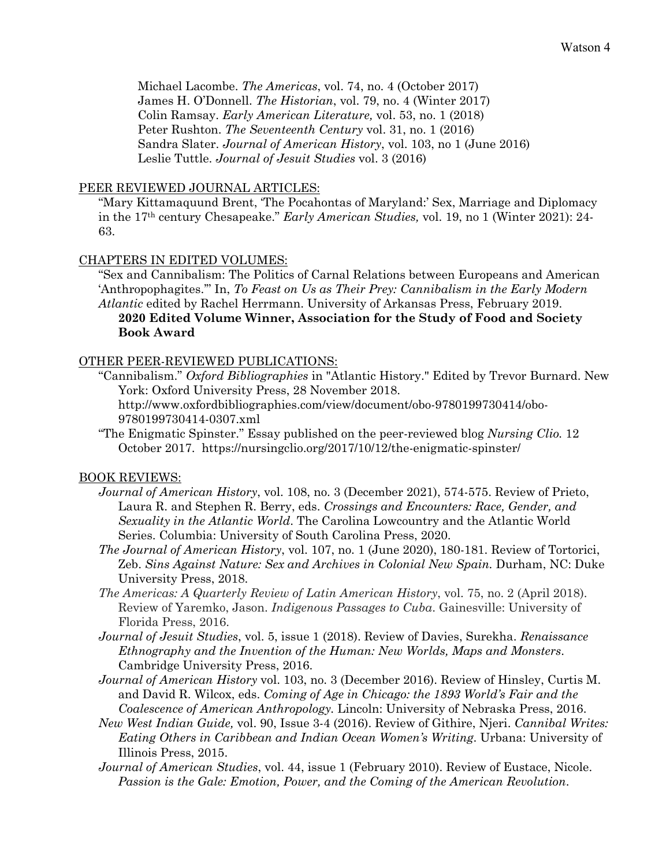Michael Lacombe. *The Americas*, vol. 74, no. 4 (October 2017) James H. O'Donnell. *The Historian*, vol. 79, no. 4 (Winter 2017) Colin Ramsay. *Early American Literature,* vol. 53, no. 1 (2018) Peter Rushton. *The Seventeenth Century* vol. 31, no. 1 (2016) Sandra Slater. *Journal of American History*, vol. 103, no 1 (June 2016) Leslie Tuttle. *Journal of Jesuit Studies* vol. 3 (2016)

### PEER REVIEWED JOURNAL ARTICLES:

"Mary Kittamaquund Brent, 'The Pocahontas of Maryland:' Sex, Marriage and Diplomacy in the 17th century Chesapeake." *Early American Studies,* vol. 19, no 1 (Winter 2021): 24- 63.

### CHAPTERS IN EDITED VOLUMES:

**Book Award**

"Sex and Cannibalism: The Politics of Carnal Relations between Europeans and American 'Anthropophagites.'" In, *To Feast on Us as Their Prey: Cannibalism in the Early Modern Atlantic* edited by Rachel Herrmann. University of Arkansas Press, February 2019. **2020 Edited Volume Winner, Association for the Study of Food and Society** 

# OTHER PEER-REVIEWED PUBLICATIONS:

"Cannibalism." *Oxford Bibliographies* in "Atlantic History." Edited by Trevor Burnard. New York: Oxford University Press, 28 November 2018.

http://www.oxfordbibliographies.com/view/document/obo-9780199730414/obo-9780199730414-0307.xml

"The Enigmatic Spinster." Essay published on the peer-reviewed blog *Nursing Clio.* 12 October 2017. https://nursingclio.org/2017/10/12/the-enigmatic-spinster/

### BOOK REVIEWS:

- *Journal of American History*, vol. 108, no. 3 (December 2021), 574-575. Review of Prieto, Laura R. and Stephen R. Berry, eds. *Crossings and Encounters: Race, Gender, and Sexuality in the Atlantic World*. The Carolina Lowcountry and the Atlantic World Series. Columbia: University of South Carolina Press, 2020.
- *The Journal of American History*, vol. 107, no. 1 (June 2020), 180-181. Review of Tortorici, Zeb. *Sins Against Nature: Sex and Archives in Colonial New Spain.* Durham, NC: Duke University Press, 2018.
- *The Americas: A Quarterly Review of Latin American History*, vol. 75, no. 2 (April 2018). Review of Yaremko, Jason. *Indigenous Passages to Cuba*. Gainesville: University of Florida Press, 2016.
- *Journal of Jesuit Studies*, vol. 5, issue 1 (2018). Review of Davies, Surekha. *Renaissance Ethnography and the Invention of the Human: New Worlds, Maps and Monsters*. Cambridge University Press, 2016.
- *Journal of American History* vol. 103, no. 3 (December 2016). Review of Hinsley, Curtis M. and David R. Wilcox, eds. *Coming of Age in Chicago: the 1893 World's Fair and the Coalescence of American Anthropology.* Lincoln: University of Nebraska Press, 2016.
- *New West Indian Guide,* vol. 90, Issue 3-4 (2016). Review of Githire, Njeri. *Cannibal Writes: Eating Others in Caribbean and Indian Ocean Women's Writing*. Urbana: University of Illinois Press, 2015.
- *Journal of American Studies*, vol. 44, issue 1 (February 2010). Review of Eustace, Nicole. *Passion is the Gale: Emotion, Power, and the Coming of the American Revolution*.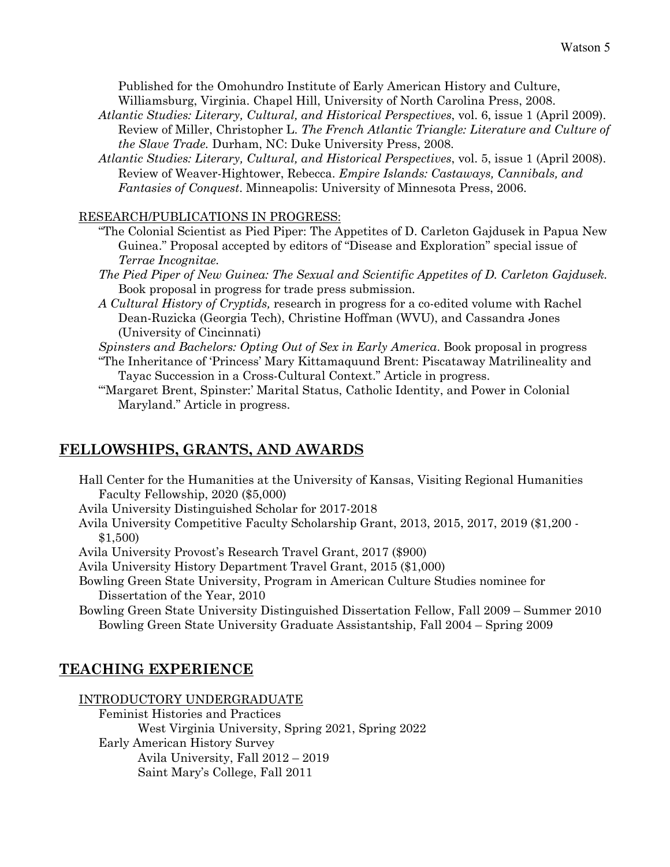Published for the Omohundro Institute of Early American History and Culture, Williamsburg, Virginia. Chapel Hill, University of North Carolina Press, 2008.

- *Atlantic Studies: Literary, Cultural, and Historical Perspectives*, vol. 6, issue 1 (April 2009). Review of Miller, Christopher L. *The French Atlantic Triangle: Literature and Culture of the Slave Trade.* Durham, NC: Duke University Press, 2008.
- *Atlantic Studies: Literary, Cultural, and Historical Perspectives*, vol. 5, issue 1 (April 2008). Review of Weaver-Hightower, Rebecca. *Empire Islands: Castaways, Cannibals, and Fantasies of Conquest*. Minneapolis: University of Minnesota Press, 2006.

## RESEARCH/PUBLICATIONS IN PROGRESS:

- "The Colonial Scientist as Pied Piper: The Appetites of D. Carleton Gajdusek in Papua New Guinea." Proposal accepted by editors of "Disease and Exploration" special issue of *Terrae Incognitae.*
- *The Pied Piper of New Guinea: The Sexual and Scientific Appetites of D. Carleton Gajdusek.*  Book proposal in progress for trade press submission.
- *A Cultural History of Cryptids,* research in progress for a co-edited volume with Rachel Dean-Ruzicka (Georgia Tech), Christine Hoffman (WVU), and Cassandra Jones (University of Cincinnati)
- *Spinsters and Bachelors: Opting Out of Sex in Early America*. Book proposal in progress "The Inheritance of 'Princess' Mary Kittamaquund Brent: Piscataway Matrilineality and

Tayac Succession in a Cross-Cultural Context." Article in progress.

"'Margaret Brent, Spinster:' Marital Status, Catholic Identity, and Power in Colonial Maryland." Article in progress.

# **FELLOWSHIPS, GRANTS, AND AWARDS**

Hall Center for the Humanities at the University of Kansas, Visiting Regional Humanities Faculty Fellowship, 2020 (\$5,000)

Avila University Distinguished Scholar for 2017-2018

- Avila University Competitive Faculty Scholarship Grant, 2013, 2015, 2017, 2019 (\$1,200 \$1,500)
- Avila University Provost's Research Travel Grant, 2017 (\$900)
- Avila University History Department Travel Grant, 2015 (\$1,000)
- Bowling Green State University, Program in American Culture Studies nominee for Dissertation of the Year, 2010
- Bowling Green State University Distinguished Dissertation Fellow, Fall 2009 Summer 2010 Bowling Green State University Graduate Assistantship, Fall 2004 – Spring 2009

# **TEACHING EXPERIENCE**

### INTRODUCTORY UNDERGRADUATE

Feminist Histories and Practices West Virginia University, Spring 2021, Spring 2022 Early American History Survey Avila University, Fall 2012 – 2019 Saint Mary's College, Fall 2011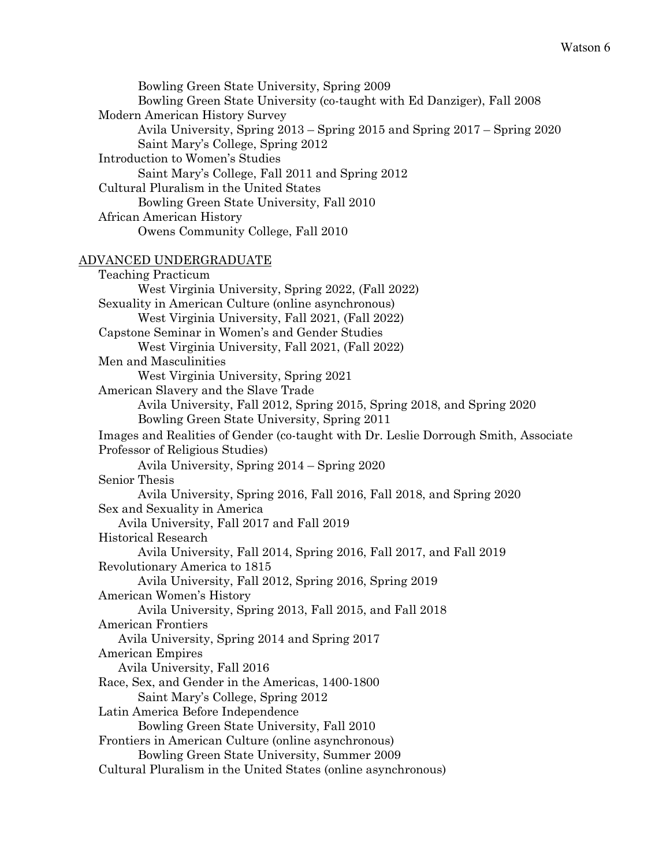Bowling Green State University, Spring 2009 Bowling Green State University (co-taught with Ed Danziger), Fall 2008 Modern American History Survey Avila University, Spring 2013 – Spring 2015 and Spring 2017 – Spring 2020 Saint Mary's College, Spring 2012 Introduction to Women's Studies Saint Mary's College, Fall 2011 and Spring 2012 Cultural Pluralism in the United States Bowling Green State University, Fall 2010 African American History Owens Community College, Fall 2010

### ADVANCED UNDERGRADUATE

Teaching Practicum West Virginia University, Spring 2022, (Fall 2022) Sexuality in American Culture (online asynchronous) West Virginia University, Fall 2021, (Fall 2022) Capstone Seminar in Women's and Gender Studies West Virginia University, Fall 2021, (Fall 2022) Men and Masculinities West Virginia University, Spring 2021 American Slavery and the Slave Trade Avila University, Fall 2012, Spring 2015, Spring 2018, and Spring 2020 Bowling Green State University, Spring 2011 Images and Realities of Gender (co-taught with Dr. Leslie Dorrough Smith, Associate Professor of Religious Studies) Avila University, Spring 2014 – Spring 2020 Senior Thesis Avila University, Spring 2016, Fall 2016, Fall 2018, and Spring 2020 Sex and Sexuality in America Avila University, Fall 2017 and Fall 2019 Historical Research Avila University, Fall 2014, Spring 2016, Fall 2017, and Fall 2019 Revolutionary America to 1815 Avila University, Fall 2012, Spring 2016, Spring 2019 American Women's History Avila University, Spring 2013, Fall 2015, and Fall 2018 American Frontiers Avila University, Spring 2014 and Spring 2017 American Empires Avila University, Fall 2016 Race, Sex, and Gender in the Americas, 1400-1800 Saint Mary's College, Spring 2012 Latin America Before Independence Bowling Green State University, Fall 2010 Frontiers in American Culture (online asynchronous) Bowling Green State University, Summer 2009 Cultural Pluralism in the United States (online asynchronous)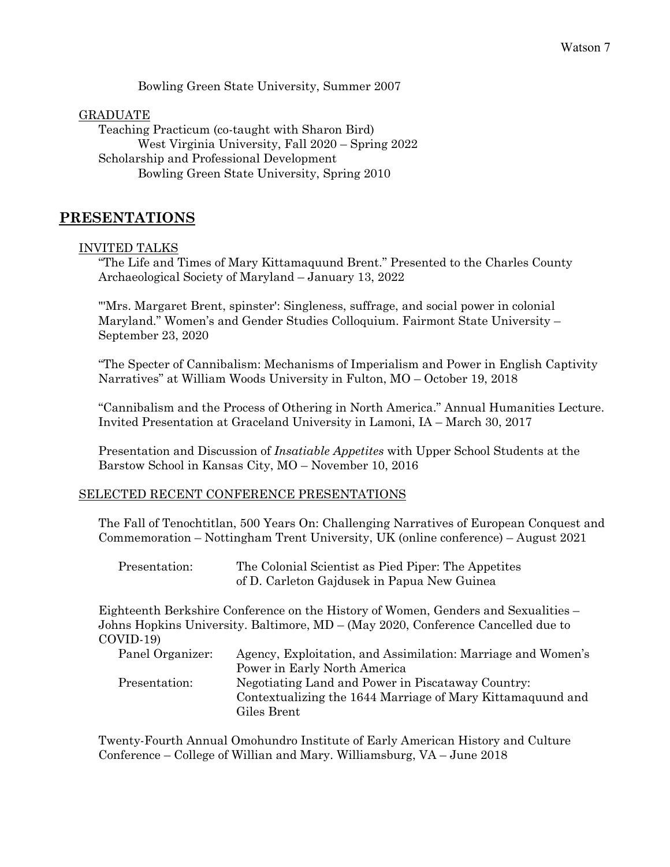Bowling Green State University, Summer 2007

GRADUATE Teaching Practicum (co-taught with Sharon Bird) West Virginia University, Fall 2020 – Spring 2022 Scholarship and Professional Development Bowling Green State University, Spring 2010

## **PRESENTATIONS**

### INVITED TALKS

"The Life and Times of Mary Kittamaquund Brent." Presented to the Charles County Archaeological Society of Maryland – January 13, 2022

"'Mrs. Margaret Brent, spinster': Singleness, suffrage, and social power in colonial Maryland." Women's and Gender Studies Colloquium. Fairmont State University – September 23, 2020

"The Specter of Cannibalism: Mechanisms of Imperialism and Power in English Captivity Narratives" at William Woods University in Fulton, MO – October 19, 2018

"Cannibalism and the Process of Othering in North America." Annual Humanities Lecture. Invited Presentation at Graceland University in Lamoni, IA – March 30, 2017

Presentation and Discussion of *Insatiable Appetites* with Upper School Students at the Barstow School in Kansas City, MO – November 10, 2016

### SELECTED RECENT CONFERENCE PRESENTATIONS

The Fall of Tenochtitlan, 500 Years On: Challenging Narratives of European Conquest and Commemoration – Nottingham Trent University, UK (online conference) – August 2021

| Presentation: | The Colonial Scientist as Pied Piper: The Appetites |
|---------------|-----------------------------------------------------|
|               | of D. Carleton Gajdusek in Papua New Guinea         |

Eighteenth Berkshire Conference on the History of Women, Genders and Sexualities – Johns Hopkins University. Baltimore, MD – (May 2020, Conference Cancelled due to COVID-19)

| Panel Organizer: | Agency, Exploitation, and Assimilation: Marriage and Women's |
|------------------|--------------------------------------------------------------|
|                  | Power in Early North America                                 |
| Presentation:    | Negotiating Land and Power in Piscataway Country:            |
|                  | Contextualizing the 1644 Marriage of Mary Kittamaguund and   |
|                  | Giles Brent                                                  |

Twenty-Fourth Annual Omohundro Institute of Early American History and Culture Conference – College of Willian and Mary. Williamsburg, VA – June 2018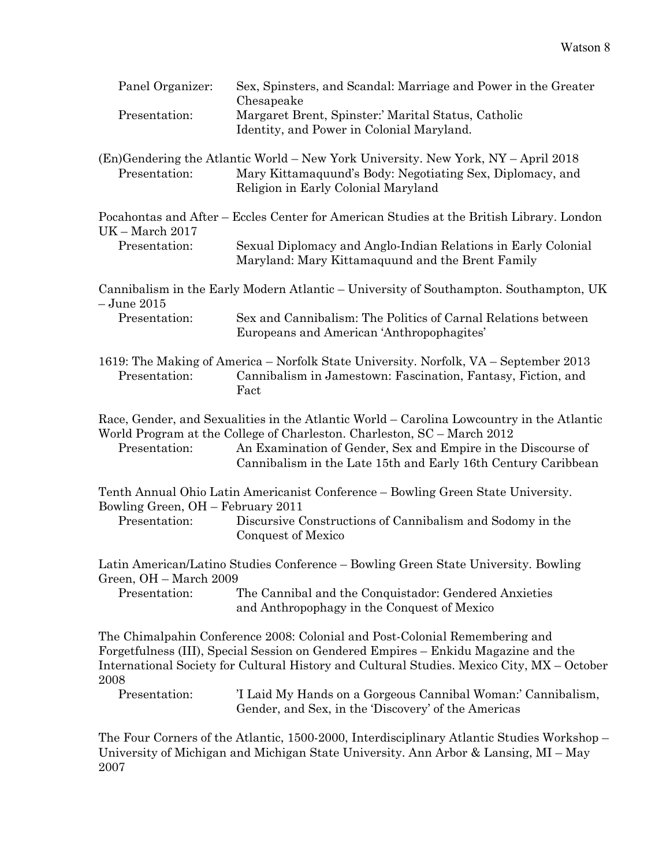| Panel Organizer:                                   | Sex, Spinsters, and Scandal: Marriage and Power in the Greater<br>Chesapeake                                                                                                                                                                                                                          |
|----------------------------------------------------|-------------------------------------------------------------------------------------------------------------------------------------------------------------------------------------------------------------------------------------------------------------------------------------------------------|
| Presentation:                                      | Margaret Brent, Spinster:' Marital Status, Catholic<br>Identity, and Power in Colonial Maryland.                                                                                                                                                                                                      |
| Presentation:                                      | (En)Gendering the Atlantic World – New York University. New York, NY – April 2018<br>Mary Kittamaquund's Body: Negotiating Sex, Diplomacy, and<br>Religion in Early Colonial Maryland                                                                                                                 |
| $UK - March 2017$                                  | Pocahontas and After - Eccles Center for American Studies at the British Library. London                                                                                                                                                                                                              |
| Presentation:                                      | Sexual Diplomacy and Anglo-Indian Relations in Early Colonial<br>Maryland: Mary Kittamaquund and the Brent Family                                                                                                                                                                                     |
| $-$ June $2015$                                    | Cannibalism in the Early Modern Atlantic – University of Southampton. Southampton, UK                                                                                                                                                                                                                 |
| Presentation:                                      | Sex and Cannibalism: The Politics of Carnal Relations between<br>Europeans and American 'Anthropophagites'                                                                                                                                                                                            |
| Presentation:                                      | 1619: The Making of America – Norfolk State University. Norfolk, VA – September 2013<br>Cannibalism in Jamestown: Fascination, Fantasy, Fiction, and<br>Fact                                                                                                                                          |
| Presentation:                                      | Race, Gender, and Sexualities in the Atlantic World – Carolina Lowcountry in the Atlantic<br>World Program at the College of Charleston. Charleston, SC – March 2012<br>An Examination of Gender, Sex and Empire in the Discourse of<br>Cannibalism in the Late 15th and Early 16th Century Caribbean |
|                                                    | Tenth Annual Ohio Latin Americanist Conference - Bowling Green State University.                                                                                                                                                                                                                      |
| Bowling Green, OH - February 2011<br>Presentation: | Discursive Constructions of Cannibalism and Sodomy in the<br>Conquest of Mexico                                                                                                                                                                                                                       |
| Green, OH - March 2009                             | Latin American/Latino Studies Conference – Bowling Green State University. Bowling                                                                                                                                                                                                                    |
| Presentation:                                      | The Cannibal and the Conquistador: Gendered Anxieties<br>and Anthropophagy in the Conquest of Mexico                                                                                                                                                                                                  |
| 2008                                               | The Chimalpahin Conference 2008: Colonial and Post-Colonial Remembering and<br>Forgetfulness (III), Special Session on Gendered Empires - Enkidu Magazine and the<br>International Society for Cultural History and Cultural Studies. Mexico City, MX - October                                       |
| Presentation:                                      | 'I Laid My Hands on a Gorgeous Cannibal Woman:' Cannibalism,<br>Gender, and Sex, in the 'Discovery' of the Americas                                                                                                                                                                                   |
|                                                    | The Four Corners of the Atlantic, 1500-2000, Interdisciplinary Atlantic Studies Workshop -                                                                                                                                                                                                            |

University of Michigan and Michigan State University. Ann Arbor & Lansing, MI – May 2007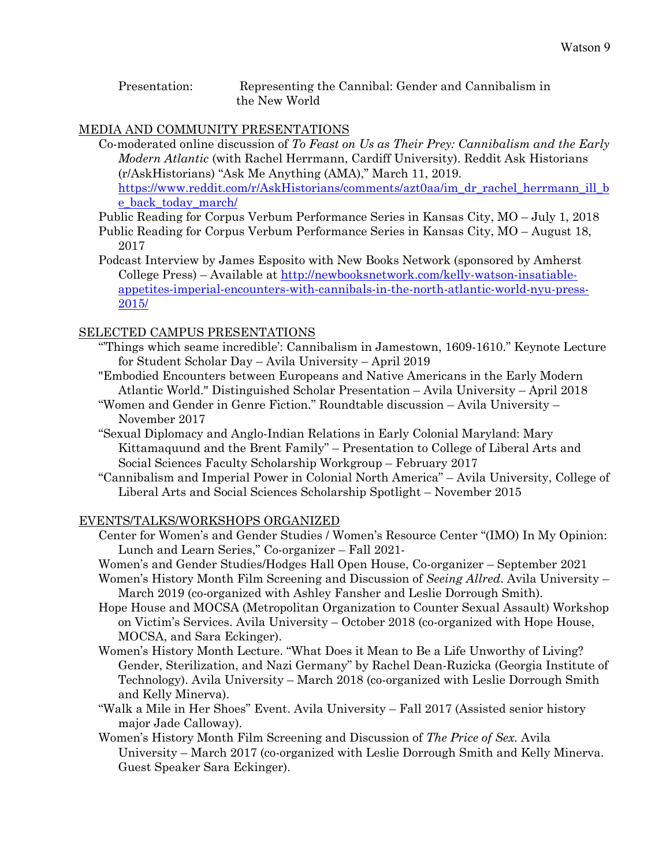Presentation: Representing the Cannibal: Gender and Cannibalism in the New World

### MEDIA AND COMMUNITY PRESENTATIONS

Co-moderated online discussion of *To Feast on Us as Their Prey: Cannibalism and the Early Modern Atlantic* (with Rachel Herrmann, Cardiff University). Reddit Ask Historians (r/AskHistorians) "Ask Me Anything (AMA)," March 11, 2019. https://www.reddit.com/r/AskHistorians/comments/azt0aa/im\_dr\_rachel\_herrmann\_ill\_b e\_back\_today\_march/

- Public Reading for Corpus Verbum Performance Series in Kansas City, MO July 1, 2018
- Public Reading for Corpus Verbum Performance Series in Kansas City, MO August 18, 2017

Podcast Interview by James Esposito with New Books Network (sponsored by Amherst College Press) – Available at http://newbooksnetwork.com/kelly-watson-insatiableappetites-imperial-encounters-with-cannibals-in-the-north-atlantic-world-nyu-press-2015/

## SELECTED CAMPUS PRESENTATIONS

- "'Things which seame incredible': Cannibalism in Jamestown, 1609-1610." Keynote Lecture for Student Scholar Day – Avila University – April 2019
- "Embodied Encounters between Europeans and Native Americans in the Early Modern Atlantic World." Distinguished Scholar Presentation – Avila University – April 2018
- "Women and Gender in Genre Fiction." Roundtable discussion Avila University November 2017
- "Sexual Diplomacy and Anglo-Indian Relations in Early Colonial Maryland: Mary Kittamaquund and the Brent Family" – Presentation to College of Liberal Arts and Social Sciences Faculty Scholarship Workgroup – February 2017
- "Cannibalism and Imperial Power in Colonial North America" Avila University, College of Liberal Arts and Social Sciences Scholarship Spotlight – November 2015

### EVENTS/TALKS/WORKSHOPS ORGANIZED

Center for Women's and Gender Studies / Women's Resource Center "(IMO) In My Opinion: Lunch and Learn Series," Co-organizer – Fall 2021-

Women's and Gender Studies/Hodges Hall Open House, Co-organizer – September 2021

- Women's History Month Film Screening and Discussion of *Seeing Allred*. Avila University March 2019 (co-organized with Ashley Fansher and Leslie Dorrough Smith).
- Hope House and MOCSA (Metropolitan Organization to Counter Sexual Assault) Workshop on Victim's Services. Avila University – October 2018 (co-organized with Hope House, MOCSA, and Sara Eckinger).
- Women's History Month Lecture. "What Does it Mean to Be a Life Unworthy of Living? Gender, Sterilization, and Nazi Germany" by Rachel Dean-Ruzicka (Georgia Institute of Technology). Avila University – March 2018 (co-organized with Leslie Dorrough Smith and Kelly Minerva).
- "Walk a Mile in Her Shoes" Event. Avila University Fall 2017 (Assisted senior history major Jade Calloway).
- Women's History Month Film Screening and Discussion of *The Price of Sex.* Avila University – March 2017 (co-organized with Leslie Dorrough Smith and Kelly Minerva. Guest Speaker Sara Eckinger).